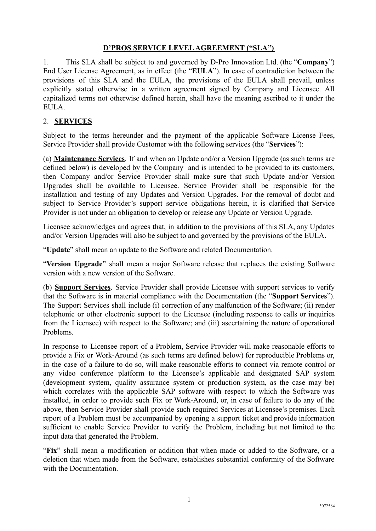## **D'PROS SERVICE LEVEL AGREEMENT ("SLA")**

1. This SLA shall be subject to and governed by D-Pro Innovation Ltd. (the "**Company**") End User License Agreement, as in effect (the "**EULA**"). In case of contradiction between the provisions of this SLA and the EULA, the provisions of the EULA shall prevail, unless explicitly stated otherwise in a written agreement signed by Company and Licensee. All capitalized terms not otherwise defined herein, shall have the meaning ascribed to it under the EULA.

## 2. **SERVICES**

Subject to the terms hereunder and the payment of the applicable Software License Fees, Service Provider shall provide Customer with the following services (the "**Services**"):

(a) **Maintenance Services**. If and when an Update and/or a Version Upgrade (as such terms are defined below) is developed by the Company and is intended to be provided to its customers, then Company and/or Service Provider shall make sure that such Update and/or Version Upgrades shall be available to Licensee. Service Provider shall be responsible for the installation and testing of any Updates and Version Upgrades. For the removal of doubt and subject to Service Provider's support service obligations herein, it is clarified that Service Provider is not under an obligation to develop or release any Update or Version Upgrade.

Licensee acknowledges and agrees that, in addition to the provisions of this SLA, any Updates and/or Version Upgrades will also be subject to and governed by the provisions of the EULA.

"**Update**" shall mean an update to the Software and related Documentation.

"**Version Upgrade**" shall mean a major Software release that replaces the existing Software version with a new version of the Software.

(b) **Support Services**. Service Provider shall provide Licensee with support services to verify that the Software is in material compliance with the Documentation (the "**Support Services**"). The Support Services shall include (i) correction of any malfunction of the Software; (ii) render telephonic or other electronic support to the Licensee (including response to calls or inquiries from the Licensee) with respect to the Software; and (iii) ascertaining the nature of operational Problems.

In response to Licensee report of a Problem, Service Provider will make reasonable efforts to provide a Fix or Work-Around (as such terms are defined below) for reproducible Problems or, in the case of a failure to do so, will make reasonable efforts to connect via remote control or any video conference platform to the Licensee's applicable and designated SAP system (development system, quality assurance system or production system, as the case may be) which correlates with the applicable SAP software with respect to which the Software was installed, in order to provide such Fix or Work-Around, or, in case of failure to do any of the above, then Service Provider shall provide such required Services at Licensee's premises. Each report of a Problem must be accompanied by opening a support ticket and provide information sufficient to enable Service Provider to verify the Problem, including but not limited to the input data that generated the Problem.

"**Fix**" shall mean a modification or addition that when made or added to the Software, or a deletion that when made from the Software, establishes substantial conformity of the Software with the Documentation.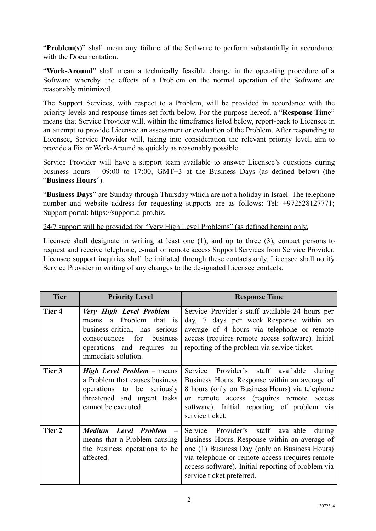"**Problem(s)**" shall mean any failure of the Software to perform substantially in accordance with the Documentation

"**Work-Around**" shall mean a technically feasible change in the operating procedure of a Software whereby the effects of a Problem on the normal operation of the Software are reasonably minimized.

The Support Services, with respect to a Problem, will be provided in accordance with the priority levels and response times set forth below. For the purpose hereof, a "**Response Time**" means that Service Provider will, within the timeframes listed below, report-back to Licensee in an attempt to provide Licensee an assessment or evaluation of the Problem. After responding to Licensee, Service Provider will, taking into consideration the relevant priority level, aim to provide a Fix or Work-Around as quickly as reasonably possible.

Service Provider will have a support team available to answer Licensee's questions during business hours – 09:00 to 17:00, GMT+3 at the Business Days (as defined below) (the "**Business Hours**").

"**Business Days**" are Sunday through Thursday which are not a holiday in Israel. The telephone number and website address for requesting supports are as follows: Tel: +972528127771; Support portal: https://support.d-pro.biz.

24/7 support will be provided for "Very High Level Problems" (as defined herein) only.

Licensee shall designate in writing at least one (1), and up to three (3), contact persons to request and receive telephone, e-mail or remote access Support Services from Service Provider. Licensee support inquiries shall be initiated through these contacts only. Licensee shall notify Service Provider in writing of any changes to the designated Licensee contacts.

| <b>Tier</b> | <b>Priority Level</b>                                                                                                                                                             | <b>Response Time</b>                                                                                                                                                                                                                                                                       |  |  |  |  |
|-------------|-----------------------------------------------------------------------------------------------------------------------------------------------------------------------------------|--------------------------------------------------------------------------------------------------------------------------------------------------------------------------------------------------------------------------------------------------------------------------------------------|--|--|--|--|
| Tier 4      | Very High Level Problem -<br>a Problem that is<br>means<br>business-critical, has serious<br>consequences for<br>business<br>operations and requires<br>an<br>immediate solution. | Service Provider's staff available 24 hours per<br>day, 7 days per week Response within an<br>average of 4 hours via telephone or remote<br>access (requires remote access software). Initial<br>reporting of the problem via service ticket.                                              |  |  |  |  |
| Tier 3      | <b>High Level Problem</b> – means<br>a Problem that causes business<br>operations to be seriously<br>threatened and urgent tasks<br>cannot be executed.                           | Service Provider's staff available<br>during<br>Business Hours. Response within an average of<br>8 hours (only on Business Hours) via telephone<br>or remote access (requires remote access<br>software). Initial reporting of problem via<br>service ticket.                              |  |  |  |  |
| Tier 2      | Medium Level Problem -<br>means that a Problem causing<br>the business operations to be<br>affected.                                                                              | Service<br>Provider's staff<br>available<br>during<br>Business Hours. Response within an average of<br>one (1) Business Day (only on Business Hours)<br>via telephone or remote access (requires remote<br>access software). Initial reporting of problem via<br>service ticket preferred. |  |  |  |  |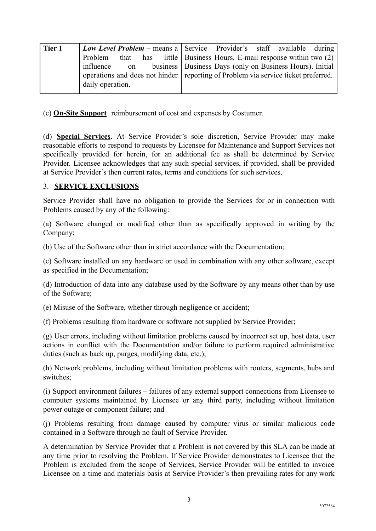| Tier 1 | <i>Low Level Problem –</i> means a Service Provider's staff available during |  |  |  |                                                                                                                                                 |                                                                        |  |  |  |
|--------|------------------------------------------------------------------------------|--|--|--|-------------------------------------------------------------------------------------------------------------------------------------------------|------------------------------------------------------------------------|--|--|--|
|        |                                                                              |  |  |  |                                                                                                                                                 | Problem that has little Business Hours. E-mail response within two (2) |  |  |  |
|        | influence<br>on                                                              |  |  |  | business   Business Days (only on Business Hours). Initial<br>operations and does not hinder reporting of Problem via service ticket preferred. |                                                                        |  |  |  |
|        | daily operation.                                                             |  |  |  |                                                                                                                                                 |                                                                        |  |  |  |

(c) **On-Site Support** reimbursement of cost and expenses by Costumer.

(d) **Special Services**. At Service Provider's sole discretion, Service Provider may make reasonable efforts to respond to requests by Licensee for Maintenance and Support Services not specifically provided for herein, for an additional fee as shall be determined by Service Provider. Licensee acknowledges that any such special services, if provided, shall be provided at Service Provider's then current rates, terms and conditions for such services.

## 3. **SERVICE EXCLUSIONS**

Service Provider shall have no obligation to provide the Services for or in connection with Problems caused by any of the following:

(a) Software changed or modified other than as specifically approved in writing by the Company;

(b) Use of the Software other than in strict accordance with the Documentation;

(c) Software installed on any hardware or used in combination with any other software, except as specified in the Documentation;

(d) Introduction of data into any database used by the Software by any means other than by use of the Software;

(e) Misuse of the Software, whether through negligence or accident;

(f) Problems resulting from hardware or software not supplied by Service Provider;

(g) User errors, including without limitation problems caused by incorrect set up, host data, user actions in conflict with the Documentation and/or failure to perform required administrative duties (such as back up, purges, modifying data, etc.);

(h) Network problems, including without limitation problems with routers, segments, hubs and switches;

(i) Support environment failures – failures of any external support connections from Licensee to computer systems maintained by Licensee or any third party, including without limitation power outage or component failure; and

(j) Problems resulting from damage caused by computer virus or similar malicious code contained in a Software through no fault of Service Provider.

A determination by Service Provider that a Problem is not covered by this SLA can be made at any time prior to resolving the Problem. If Service Provider demonstrates to Licensee that the Problem is excluded from the scope of Services, Service Provider will be entitled to invoice Licensee on a time and materials basis at Service Provider's then prevailing rates for any work